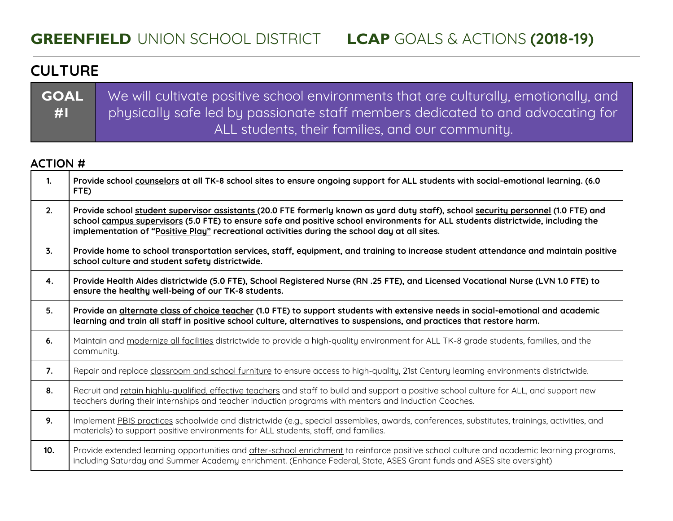## **CULTURE**

**GOAL #1** We will cultivate positive school environments that are culturally, emotionally, and physically safe led by passionate staff members dedicated to and advocating for ALL students, their families, and our community.

### **ACTION #**

| $\mathbf{1}$   | Provide school counselors at all TK-8 school sites to ensure ongoing support for ALL students with social-emotional learning. (6.0<br>FTE)                                                                                                                                                                                                                              |
|----------------|-------------------------------------------------------------------------------------------------------------------------------------------------------------------------------------------------------------------------------------------------------------------------------------------------------------------------------------------------------------------------|
| 2.             | Provide school student supervisor assistants (20.0 FTE formerly known as yard duty staff), school security personnel (1.0 FTE) and<br>school campus supervisors (5.0 FTE) to ensure safe and positive school environments for ALL students districtwide, including the<br>implementation of "Positive Play" recreational activities during the school day at all sites. |
| $\mathbf{3}$ . | Provide home to school transportation services, staff, equipment, and training to increase student attendance and maintain positive<br>school culture and student safety districtwide.                                                                                                                                                                                  |
| 4.             | Provide Health Aides districtwide (5.0 FTE), School Registered Nurse (RN .25 FTE), and Licensed Vocational Nurse (LVN 1.0 FTE) to<br>ensure the healthy well-being of our TK-8 students.                                                                                                                                                                                |
| 5.             | Provide an alternate class of choice teacher (1.0 FTE) to support students with extensive needs in social-emotional and academic<br>learning and train all staff in positive school culture, alternatives to suspensions, and practices that restore harm.                                                                                                              |
| 6.             | Maintain and modernize all facilities districtwide to provide a high-quality environment for ALL TK-8 grade students, families, and the<br>community.                                                                                                                                                                                                                   |
| 7.             | Repair and replace classroom and school furniture to ensure access to high-quality, 21st Century learning environments districtwide.                                                                                                                                                                                                                                    |
| 8.             | Recruit and retain highly-qualified, effective teachers and staff to build and support a positive school culture for ALL, and support new<br>teachers during their internships and teacher induction programs with mentors and Induction Coaches.                                                                                                                       |
| 9.             | Implement PBIS practices schoolwide and districtwide (e.g., special assemblies, awards, conferences, substitutes, trainings, activities, and<br>materials) to support positive environments for ALL students, staff, and families.                                                                                                                                      |
| 10.            | Provide extended learning opportunities and after-school enrichment to reinforce positive school culture and academic learning programs,<br>including Saturday and Summer Academy enrichment. (Enhance Federal, State, ASES Grant funds and ASES site oversight)                                                                                                        |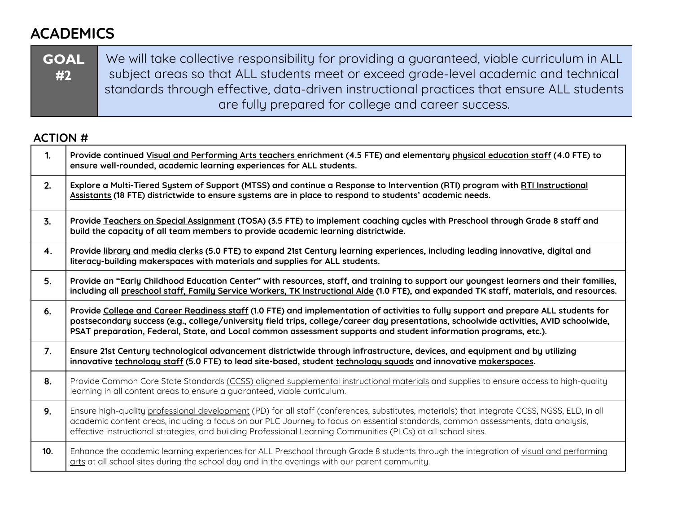# **ACADEMICS**

| <b>SOAL</b> | We will take collective responsibility for providing a guaranteed, viable curriculum in ALL |
|-------------|---------------------------------------------------------------------------------------------|
| #2          | subject areas so that ALL students meet or exceed grade-level academic and technical        |
|             | standards through effective, data-driven instructional practices that ensure ALL students   |
|             | are fully prepared for college and career success.                                          |

### **ACTION #**

| $\mathbf{1}$ . | Provide continued Visual and Performing Arts teachers enrichment (4.5 FTE) and elementary physical education staff (4.0 FTE) to<br>ensure well-rounded, academic learning experiences for ALL students.                                                                                                                                                                                            |
|----------------|----------------------------------------------------------------------------------------------------------------------------------------------------------------------------------------------------------------------------------------------------------------------------------------------------------------------------------------------------------------------------------------------------|
| 2.             | Explore a Multi-Tiered System of Support (MTSS) and continue a Response to Intervention (RTI) program with RTI Instructional<br>Assistants (18 FTE) districtwide to ensure systems are in place to respond to students' academic needs.                                                                                                                                                            |
| 3.             | Provide Teachers on Special Assignment (TOSA) (3.5 FTE) to implement coaching cycles with Preschool through Grade 8 staff and<br>build the capacity of all team members to provide academic learning districtwide.                                                                                                                                                                                 |
| 4.             | Provide library and media clerks (5.0 FTE) to expand 21st Century learning experiences, including leading innovative, digital and<br>literacy-building makerspaces with materials and supplies for ALL students.                                                                                                                                                                                   |
| 5.             | Provide an "Early Childhood Education Center" with resources, staff, and training to support our youngest learners and their families,<br>including all preschool staff, Family Service Workers, TK Instructional Aide (1.0 FTE), and expanded TK staff, materials, and resources.                                                                                                                 |
| 6.             | Provide College and Career Readiness staff (1.0 FTE) and implementation of activities to fully support and prepare ALL students for<br>postsecondary success (e.g., college/university field trips, college/career day presentations, schoolwide activities, AVID schoolwide,<br>PSAT preparation, Federal, State, and Local common assessment supports and student information programs, etc.).   |
| 7.             | Ensure 21st Century technological advancement districtwide through infrastructure, devices, and equipment and by utilizing<br>innovative technology staff (5.0 FTE) to lead site-based, student technology squads and innovative makerspaces.                                                                                                                                                      |
| 8.             | Provide Common Core State Standards (CCSS) aligned supplemental instructional materials and supplies to ensure access to high-quality<br>learning in all content areas to ensure a guaranteed, viable curriculum.                                                                                                                                                                                  |
| 9.             | Ensure high-quality professional development (PD) for all staff (conferences, substitutes, materials) that integrate CCSS, NGSS, ELD, in all<br>academic content areas, including a focus on our PLC Journey to focus on essential standards, common assessments, data analysis,<br>effective instructional strategies, and building Professional Learning Communities (PLCs) at all school sites. |
| 10.            | Enhance the academic learning experiences for ALL Preschool through Grade 8 students through the integration of visual and performing<br>arts at all school sites during the school day and in the evenings with our parent community.                                                                                                                                                             |